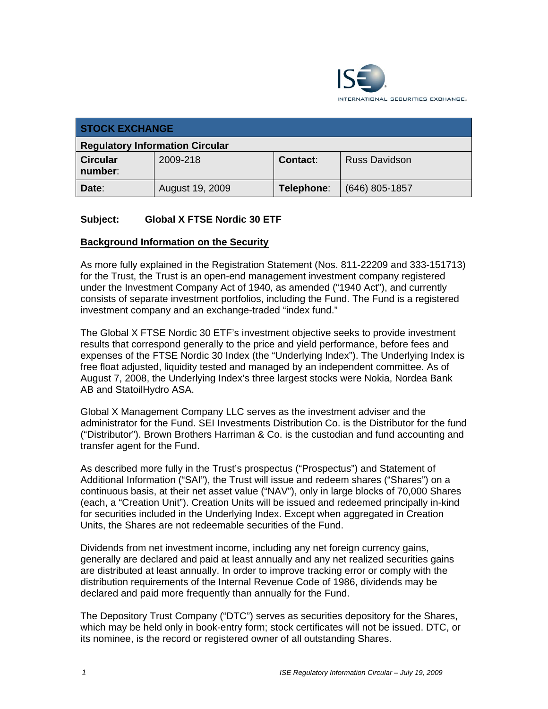

| <b>STOCK EXCHANGE</b>                  |                 |            |                      |  |
|----------------------------------------|-----------------|------------|----------------------|--|
| <b>Regulatory Information Circular</b> |                 |            |                      |  |
| <b>Circular</b><br>number:             | 2009-218        | Contact:   | <b>Russ Davidson</b> |  |
| Date:                                  | August 19, 2009 | Telephone: | $(646)$ 805-1857     |  |

## **Subject: Global X FTSE Nordic 30 ETF**

#### **Background Information on the Security**

As more fully explained in the Registration Statement (Nos. 811-22209 and 333-151713) for the Trust, the Trust is an open-end management investment company registered under the Investment Company Act of 1940, as amended ("1940 Act"), and currently consists of separate investment portfolios, including the Fund. The Fund is a registered investment company and an exchange-traded "index fund."

The Global X FTSE Nordic 30 ETF's investment objective seeks to provide investment results that correspond generally to the price and yield performance, before fees and expenses of the FTSE Nordic 30 Index (the "Underlying Index"). The Underlying Index is free float adjusted, liquidity tested and managed by an independent committee. As of August 7, 2008, the Underlying Index's three largest stocks were Nokia, Nordea Bank AB and StatoilHydro ASA.

Global X Management Company LLC serves as the investment adviser and the administrator for the Fund. SEI Investments Distribution Co. is the Distributor for the fund ("Distributor"). Brown Brothers Harriman & Co. is the custodian and fund accounting and transfer agent for the Fund.

As described more fully in the Trust's prospectus ("Prospectus") and Statement of Additional Information ("SAI"), the Trust will issue and redeem shares ("Shares") on a continuous basis, at their net asset value ("NAV"), only in large blocks of 70,000 Shares (each, a "Creation Unit"). Creation Units will be issued and redeemed principally in-kind for securities included in the Underlying Index. Except when aggregated in Creation Units, the Shares are not redeemable securities of the Fund.

Dividends from net investment income, including any net foreign currency gains, generally are declared and paid at least annually and any net realized securities gains are distributed at least annually. In order to improve tracking error or comply with the distribution requirements of the Internal Revenue Code of 1986, dividends may be declared and paid more frequently than annually for the Fund.

The Depository Trust Company ("DTC") serves as securities depository for the Shares, which may be held only in book-entry form; stock certificates will not be issued. DTC, or its nominee, is the record or registered owner of all outstanding Shares.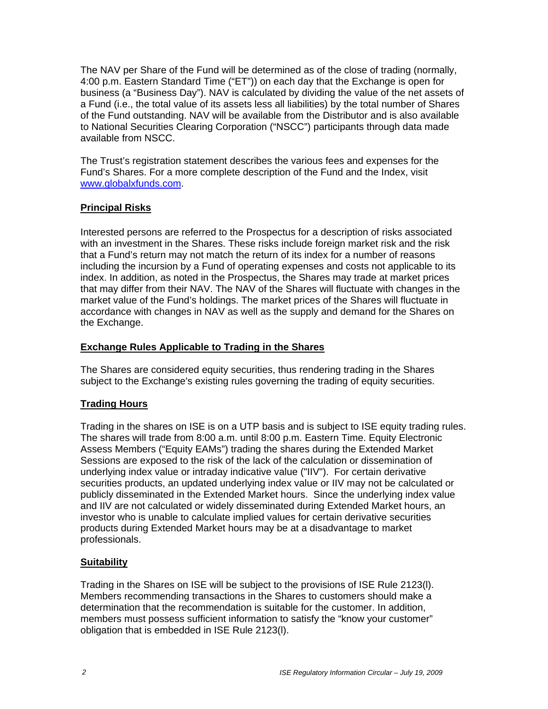The NAV per Share of the Fund will be determined as of the close of trading (normally, 4:00 p.m. Eastern Standard Time ("ET")) on each day that the Exchange is open for business (a "Business Day"). NAV is calculated by dividing the value of the net assets of a Fund (i.e., the total value of its assets less all liabilities) by the total number of Shares of the Fund outstanding. NAV will be available from the Distributor and is also available to National Securities Clearing Corporation ("NSCC") participants through data made available from NSCC.

The Trust's registration statement describes the various fees and expenses for the Fund's Shares. For a more complete description of the Fund and the Index, visit www.globalxfunds.com.

#### **Principal Risks**

Interested persons are referred to the Prospectus for a description of risks associated with an investment in the Shares. These risks include foreign market risk and the risk that a Fund's return may not match the return of its index for a number of reasons including the incursion by a Fund of operating expenses and costs not applicable to its index. In addition, as noted in the Prospectus, the Shares may trade at market prices that may differ from their NAV. The NAV of the Shares will fluctuate with changes in the market value of the Fund's holdings. The market prices of the Shares will fluctuate in accordance with changes in NAV as well as the supply and demand for the Shares on the Exchange.

#### **Exchange Rules Applicable to Trading in the Shares**

The Shares are considered equity securities, thus rendering trading in the Shares subject to the Exchange's existing rules governing the trading of equity securities.

# **Trading Hours**

Trading in the shares on ISE is on a UTP basis and is subject to ISE equity trading rules. The shares will trade from 8:00 a.m. until 8:00 p.m. Eastern Time. Equity Electronic Assess Members ("Equity EAMs") trading the shares during the Extended Market Sessions are exposed to the risk of the lack of the calculation or dissemination of underlying index value or intraday indicative value ("IIV"). For certain derivative securities products, an updated underlying index value or IIV may not be calculated or publicly disseminated in the Extended Market hours. Since the underlying index value and IIV are not calculated or widely disseminated during Extended Market hours, an investor who is unable to calculate implied values for certain derivative securities products during Extended Market hours may be at a disadvantage to market professionals.

# **Suitability**

Trading in the Shares on ISE will be subject to the provisions of ISE Rule 2123(l). Members recommending transactions in the Shares to customers should make a determination that the recommendation is suitable for the customer. In addition, members must possess sufficient information to satisfy the "know your customer" obligation that is embedded in ISE Rule 2123(l).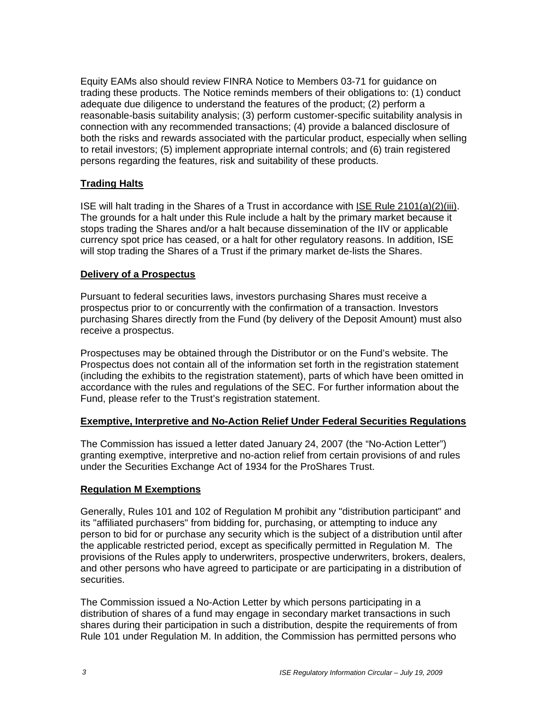Equity EAMs also should review FINRA Notice to Members 03-71 for guidance on trading these products. The Notice reminds members of their obligations to: (1) conduct adequate due diligence to understand the features of the product; (2) perform a reasonable-basis suitability analysis; (3) perform customer-specific suitability analysis in connection with any recommended transactions; (4) provide a balanced disclosure of both the risks and rewards associated with the particular product, especially when selling to retail investors; (5) implement appropriate internal controls; and (6) train registered persons regarding the features, risk and suitability of these products.

## **Trading Halts**

ISE will halt trading in the Shares of a Trust in accordance with ISE Rule 2101(a)(2)(iii). The grounds for a halt under this Rule include a halt by the primary market because it stops trading the Shares and/or a halt because dissemination of the IIV or applicable currency spot price has ceased, or a halt for other regulatory reasons. In addition, ISE will stop trading the Shares of a Trust if the primary market de-lists the Shares.

#### **Delivery of a Prospectus**

Pursuant to federal securities laws, investors purchasing Shares must receive a prospectus prior to or concurrently with the confirmation of a transaction. Investors purchasing Shares directly from the Fund (by delivery of the Deposit Amount) must also receive a prospectus.

Prospectuses may be obtained through the Distributor or on the Fund's website. The Prospectus does not contain all of the information set forth in the registration statement (including the exhibits to the registration statement), parts of which have been omitted in accordance with the rules and regulations of the SEC. For further information about the Fund, please refer to the Trust's registration statement.

#### **Exemptive, Interpretive and No-Action Relief Under Federal Securities Regulations**

The Commission has issued a letter dated January 24, 2007 (the "No-Action Letter") granting exemptive, interpretive and no-action relief from certain provisions of and rules under the Securities Exchange Act of 1934 for the ProShares Trust.

#### **Regulation M Exemptions**

Generally, Rules 101 and 102 of Regulation M prohibit any "distribution participant" and its "affiliated purchasers" from bidding for, purchasing, or attempting to induce any person to bid for or purchase any security which is the subject of a distribution until after the applicable restricted period, except as specifically permitted in Regulation M. The provisions of the Rules apply to underwriters, prospective underwriters, brokers, dealers, and other persons who have agreed to participate or are participating in a distribution of securities.

The Commission issued a No-Action Letter by which persons participating in a distribution of shares of a fund may engage in secondary market transactions in such shares during their participation in such a distribution, despite the requirements of from Rule 101 under Regulation M. In addition, the Commission has permitted persons who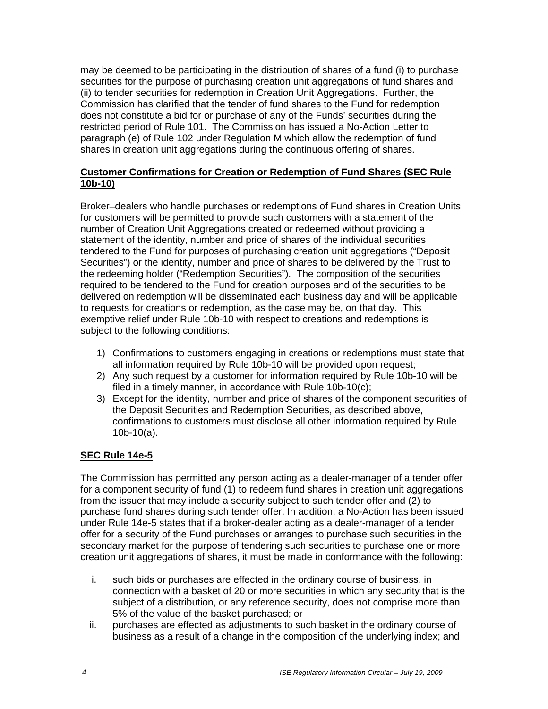may be deemed to be participating in the distribution of shares of a fund (i) to purchase securities for the purpose of purchasing creation unit aggregations of fund shares and (ii) to tender securities for redemption in Creation Unit Aggregations. Further, the Commission has clarified that the tender of fund shares to the Fund for redemption does not constitute a bid for or purchase of any of the Funds' securities during the restricted period of Rule 101. The Commission has issued a No-Action Letter to paragraph (e) of Rule 102 under Regulation M which allow the redemption of fund shares in creation unit aggregations during the continuous offering of shares.

## **Customer Confirmations for Creation or Redemption of Fund Shares (SEC Rule 10b-10)**

Broker–dealers who handle purchases or redemptions of Fund shares in Creation Units for customers will be permitted to provide such customers with a statement of the number of Creation Unit Aggregations created or redeemed without providing a statement of the identity, number and price of shares of the individual securities tendered to the Fund for purposes of purchasing creation unit aggregations ("Deposit Securities") or the identity, number and price of shares to be delivered by the Trust to the redeeming holder ("Redemption Securities"). The composition of the securities required to be tendered to the Fund for creation purposes and of the securities to be delivered on redemption will be disseminated each business day and will be applicable to requests for creations or redemption, as the case may be, on that day. This exemptive relief under Rule 10b-10 with respect to creations and redemptions is subject to the following conditions:

- 1) Confirmations to customers engaging in creations or redemptions must state that all information required by Rule 10b-10 will be provided upon request;
- 2) Any such request by a customer for information required by Rule 10b-10 will be filed in a timely manner, in accordance with Rule 10b-10(c);
- 3) Except for the identity, number and price of shares of the component securities of the Deposit Securities and Redemption Securities, as described above, confirmations to customers must disclose all other information required by Rule 10b-10(a).

# **SEC Rule 14e-5**

The Commission has permitted any person acting as a dealer-manager of a tender offer for a component security of fund (1) to redeem fund shares in creation unit aggregations from the issuer that may include a security subject to such tender offer and (2) to purchase fund shares during such tender offer. In addition, a No-Action has been issued under Rule 14e-5 states that if a broker-dealer acting as a dealer-manager of a tender offer for a security of the Fund purchases or arranges to purchase such securities in the secondary market for the purpose of tendering such securities to purchase one or more creation unit aggregations of shares, it must be made in conformance with the following:

- i. such bids or purchases are effected in the ordinary course of business, in connection with a basket of 20 or more securities in which any security that is the subject of a distribution, or any reference security, does not comprise more than 5% of the value of the basket purchased; or
- ii. purchases are effected as adjustments to such basket in the ordinary course of business as a result of a change in the composition of the underlying index; and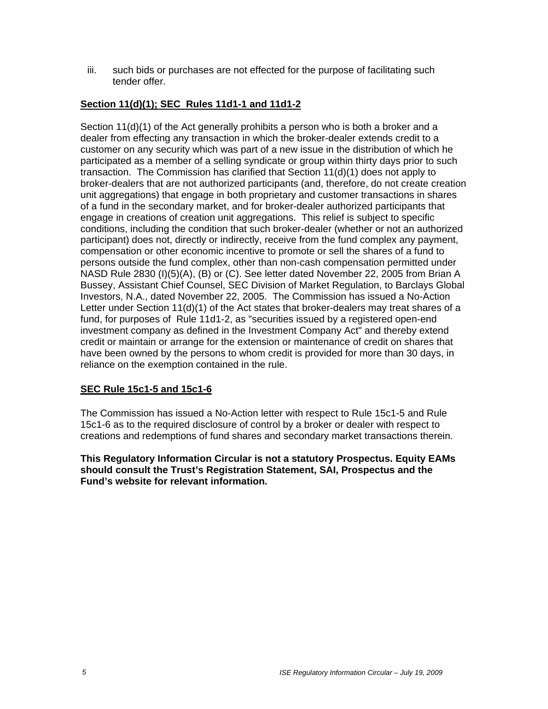iii. such bids or purchases are not effected for the purpose of facilitating such tender offer.

# **Section 11(d)(1); SEC Rules 11d1-1 and 11d1-2**

Section 11(d)(1) of the Act generally prohibits a person who is both a broker and a dealer from effecting any transaction in which the broker-dealer extends credit to a customer on any security which was part of a new issue in the distribution of which he participated as a member of a selling syndicate or group within thirty days prior to such transaction. The Commission has clarified that Section 11(d)(1) does not apply to broker-dealers that are not authorized participants (and, therefore, do not create creation unit aggregations) that engage in both proprietary and customer transactions in shares of a fund in the secondary market, and for broker-dealer authorized participants that engage in creations of creation unit aggregations. This relief is subject to specific conditions, including the condition that such broker-dealer (whether or not an authorized participant) does not, directly or indirectly, receive from the fund complex any payment, compensation or other economic incentive to promote or sell the shares of a fund to persons outside the fund complex, other than non-cash compensation permitted under NASD Rule 2830 (I)(5)(A), (B) or (C). See letter dated November 22, 2005 from Brian A Bussey, Assistant Chief Counsel, SEC Division of Market Regulation, to Barclays Global Investors, N.A., dated November 22, 2005. The Commission has issued a No-Action Letter under Section 11(d)(1) of the Act states that broker-dealers may treat shares of a fund, for purposes of Rule 11d1-2, as "securities issued by a registered open-end investment company as defined in the Investment Company Act" and thereby extend credit or maintain or arrange for the extension or maintenance of credit on shares that have been owned by the persons to whom credit is provided for more than 30 days, in reliance on the exemption contained in the rule.

# **SEC Rule 15c1-5 and 15c1-6**

The Commission has issued a No-Action letter with respect to Rule 15c1-5 and Rule 15c1-6 as to the required disclosure of control by a broker or dealer with respect to creations and redemptions of fund shares and secondary market transactions therein.

**This Regulatory Information Circular is not a statutory Prospectus. Equity EAMs should consult the Trust's Registration Statement, SAI, Prospectus and the Fund's website for relevant information.**